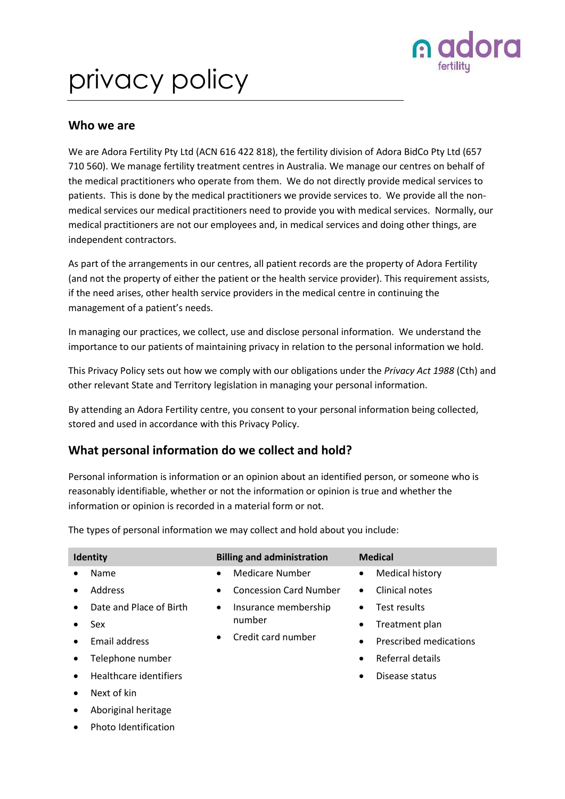

# privacy policy

#### **Who we are**

We are Adora Fertility Pty Ltd (ACN 616 422 818), the fertility division of Adora BidCo Pty Ltd (657 710 560). We manage fertility treatment centres in Australia. We manage our centres on behalf of the medical practitioners who operate from them. We do not directly provide medical services to patients. This is done by the medical practitioners we provide services to. We provide all the nonmedical services our medical practitioners need to provide you with medical services. Normally, our medical practitioners are not our employees and, in medical services and doing other things, are independent contractors.

As part of the arrangements in our centres, all patient records are the property of Adora Fertility (and not the property of either the patient or the health service provider). This requirement assists, if the need arises, other health service providers in the medical centre in continuing the management of a patient's needs.

In managing our practices, we collect, use and disclose personal information. We understand the importance to our patients of maintaining privacy in relation to the personal information we hold.

This Privacy Policy sets out how we comply with our obligations under the *Privacy Act 1988* (Cth) and other relevant State and Territory legislation in managing your personal information.

By attending an Adora Fertility centre, you consent to your personal information being collected, stored and used in accordance with this Privacy Policy.

## **What personal information do we collect and hold?**

Personal information is information or an opinion about an identified person, or someone who is reasonably identifiable, whether or not the information or opinion is true and whether the information or opinion is recorded in a material form or not.

**Identity Billing and administration Medical** • Name • Address Date and Place of Birth • Sex • Email address • Telephone number • Healthcare identifiers Next of kin • Medicare Number • Concession Card Number • Insurance membership number • Credit card number • Medical history • Clinical notes Test results • Treatment plan • Prescribed medications • Referral details Disease status

The types of personal information we may collect and hold about you include:

- Aboriginal heritage
- Photo Identification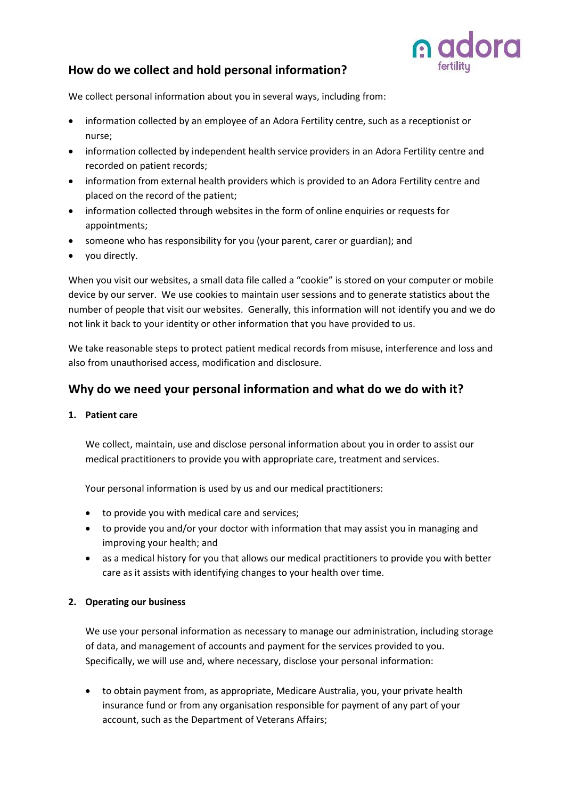

## **How do we collect and hold personal information?**

We collect personal information about you in several ways, including from:

- information collected by an employee of an Adora Fertility centre, such as a receptionist or nurse;
- information collected by independent health service providers in an Adora Fertility centre and recorded on patient records;
- information from external health providers which is provided to an Adora Fertility centre and placed on the record of the patient;
- information collected through websites in the form of online enquiries or requests for appointments;
- someone who has responsibility for you (your parent, carer or guardian); and
- you directly.

When you visit our websites, a small data file called a "cookie" is stored on your computer or mobile device by our server. We use cookies to maintain user sessions and to generate statistics about the number of people that visit our websites. Generally, this information will not identify you and we do not link it back to your identity or other information that you have provided to us.

We take reasonable steps to protect patient medical records from misuse, interference and loss and also from unauthorised access, modification and disclosure.

### **Why do we need your personal information and what do we do with it?**

#### **1. Patient care**

We collect, maintain, use and disclose personal information about you in order to assist our medical practitioners to provide you with appropriate care, treatment and services.

Your personal information is used by us and our medical practitioners:

- to provide you with medical care and services;
- to provide you and/or your doctor with information that may assist you in managing and improving your health; and
- as a medical history for you that allows our medical practitioners to provide you with better care as it assists with identifying changes to your health over time.

#### **2. Operating our business**

We use your personal information as necessary to manage our administration, including storage of data, and management of accounts and payment for the services provided to you. Specifically, we will use and, where necessary, disclose your personal information:

• to obtain payment from, as appropriate, Medicare Australia, you, your private health insurance fund or from any organisation responsible for payment of any part of your account, such as the Department of Veterans Affairs;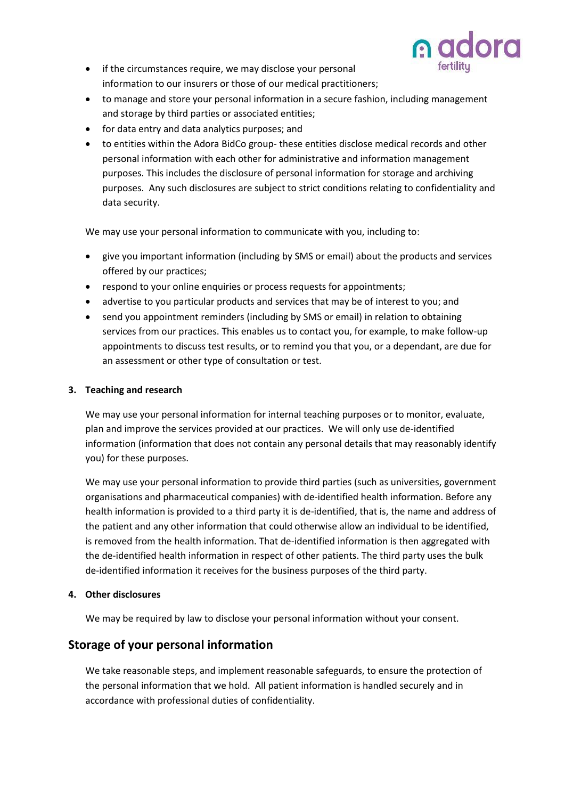

- if the circumstances require, we may disclose your personal information to our insurers or those of our medical practitioners;
- to manage and store your personal information in a secure fashion, including management and storage by third parties or associated entities;
- for data entry and data analytics purposes; and
- to entities within the Adora BidCo group- these entities disclose medical records and other personal information with each other for administrative and information management purposes. This includes the disclosure of personal information for storage and archiving purposes. Any such disclosures are subject to strict conditions relating to confidentiality and data security.

We may use your personal information to communicate with you, including to:

- give you important information (including by SMS or email) about the products and services offered by our practices;
- respond to your online enquiries or process requests for appointments;
- advertise to you particular products and services that may be of interest to you; and
- send you appointment reminders (including by SMS or email) in relation to obtaining services from our practices. This enables us to contact you, for example, to make follow-up appointments to discuss test results, or to remind you that you, or a dependant, are due for an assessment or other type of consultation or test.

#### **3. Teaching and research**

We may use your personal information for internal teaching purposes or to monitor, evaluate, plan and improve the services provided at our practices. We will only use de-identified information (information that does not contain any personal details that may reasonably identify you) for these purposes.

We may use your personal information to provide third parties (such as universities, government organisations and pharmaceutical companies) with de-identified health information. Before any health information is provided to a third party it is de-identified, that is, the name and address of the patient and any other information that could otherwise allow an individual to be identified, is removed from the health information. That de-identified information is then aggregated with the de-identified health information in respect of other patients. The third party uses the bulk de-identified information it receives for the business purposes of the third party.

#### **4. Other disclosures**

We may be required by law to disclose your personal information without your consent.

## **Storage of your personal information**

We take reasonable steps, and implement reasonable safeguards, to ensure the protection of the personal information that we hold. All patient information is handled securely and in accordance with professional duties of confidentiality.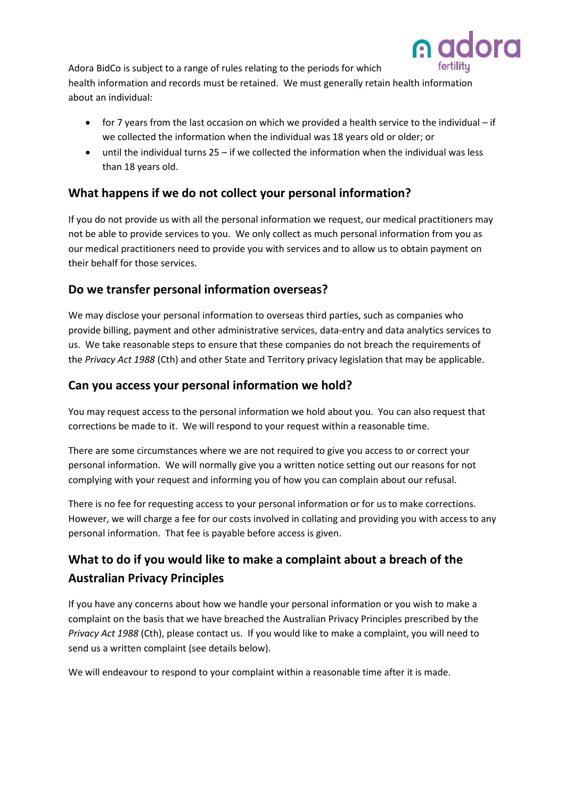

Adora BidCo is subject to a range of rules relating to the periods for which health information and records must be retained. We must generally retain health information about an individual:

- for 7 years from the last occasion on which we provided a health service to the individual if we collected the information when the individual was 18 years old or older; or
- until the individual turns 25 if we collected the information when the individual was less than 18 years old.

## **What happens if we do not collect your personal information?**

If you do not provide us with all the personal information we request, our medical practitioners may not be able to provide services to you. We only collect as much personal information from you as our medical practitioners need to provide you with services and to allow us to obtain payment on their behalf for those services.

## **Do we transfer personal information overseas?**

We may disclose your personal information to overseas third parties, such as companies who provide billing, payment and other administrative services, data-entry and data analytics services to us. We take reasonable steps to ensure that these companies do not breach the requirements of the *Privacy Act 1988* (Cth) and other State and Territory privacy legislation that may be applicable.

## **Can you access your personal information we hold?**

You may request access to the personal information we hold about you. You can also request that corrections be made to it. We will respond to your request within a reasonable time.

There are some circumstances where we are not required to give you access to or correct your personal information. We will normally give you a written notice setting out our reasons for not complying with your request and informing you of how you can complain about our refusal.

There is no fee for requesting access to your personal information or for us to make corrections. However, we will charge a fee for our costs involved in collating and providing you with access to any personal information. That fee is payable before access is given.

## **What to do if you would like to make a complaint about a breach of the Australian Privacy Principles**

If you have any concerns about how we handle your personal information or you wish to make a complaint on the basis that we have breached the Australian Privacy Principles prescribed by the *Privacy Act 1988* (Cth), please contact us. If you would like to make a complaint, you will need to send us a written complaint (see details below).

We will endeavour to respond to your complaint within a reasonable time after it is made.